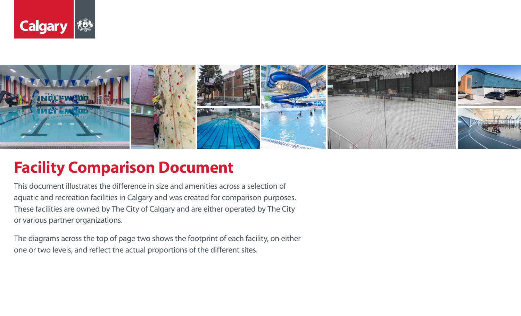



## **Facility Comparison Document**

This document illustrates the difference in size and amenities across a selection of aquatic and recreation facilities in Calgary and was created for comparison purposes. These facilities are owned by The City of Calgary and are either operated by The City or various partner organizations.

The diagrams across the top of page two shows the footprint of each facility, on either one or two levels, and reflect the actual proportions of the different sites.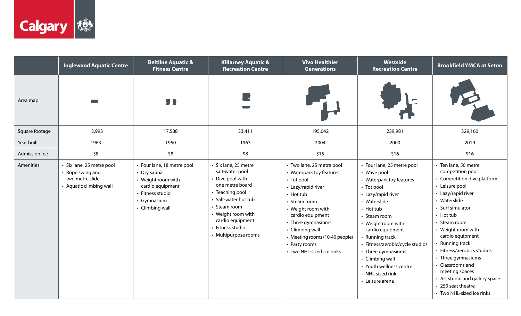

|                | <b>Inglewood Aquatic Centre</b>                                                             | <b>Beltline Aquatic &amp;</b><br><b>Fitness Centre</b>                                                                                    | <b>Killarney Aquatic &amp;</b><br><b>Recreation Centre</b>                                                                                                                                                                    | <b>Vivo Healthier</b><br><b>Generations</b>                                                                                                                                                                                                                                                     | Westside<br><b>Recreation Centre</b>                                                                                                                                                                                                                                                                                                                              | <b>Brookfield YMCA at Seton</b>                                                                                                                                                                                                                                                                                                                                                                                              |
|----------------|---------------------------------------------------------------------------------------------|-------------------------------------------------------------------------------------------------------------------------------------------|-------------------------------------------------------------------------------------------------------------------------------------------------------------------------------------------------------------------------------|-------------------------------------------------------------------------------------------------------------------------------------------------------------------------------------------------------------------------------------------------------------------------------------------------|-------------------------------------------------------------------------------------------------------------------------------------------------------------------------------------------------------------------------------------------------------------------------------------------------------------------------------------------------------------------|------------------------------------------------------------------------------------------------------------------------------------------------------------------------------------------------------------------------------------------------------------------------------------------------------------------------------------------------------------------------------------------------------------------------------|
| Area map       |                                                                                             | ,,                                                                                                                                        |                                                                                                                                                                                                                               |                                                                                                                                                                                                                                                                                                 |                                                                                                                                                                                                                                                                                                                                                                   |                                                                                                                                                                                                                                                                                                                                                                                                                              |
| Square footage | 13,993                                                                                      | 17,588                                                                                                                                    | 33,411                                                                                                                                                                                                                        | 195,042                                                                                                                                                                                                                                                                                         | 239,981                                                                                                                                                                                                                                                                                                                                                           | 329,160                                                                                                                                                                                                                                                                                                                                                                                                                      |
| Year built     | 1963                                                                                        | 1950                                                                                                                                      | 1963                                                                                                                                                                                                                          | 2004                                                                                                                                                                                                                                                                                            | 2000                                                                                                                                                                                                                                                                                                                                                              | 2019                                                                                                                                                                                                                                                                                                                                                                                                                         |
| Admission fee  | \$8                                                                                         | \$8                                                                                                                                       | \$8                                                                                                                                                                                                                           | \$15                                                                                                                                                                                                                                                                                            | \$16                                                                                                                                                                                                                                                                                                                                                              | \$16                                                                                                                                                                                                                                                                                                                                                                                                                         |
| Amenities      | · Six lane, 25 metre pool<br>• Rope swing and<br>two metre slide<br>• Aquatic climbing wall | • Four lane, 18 metre pool<br>• Dry sauna<br>• Weight room with<br>cardio equipment<br>• Fitness studio<br>• Gymnasium<br>• Climbing wall | · Six lane, 25 metre<br>salt-water pool<br>Dive pool with<br>one metre board<br>• Teaching pool<br>• Salt-water hot tub<br>• Steam room<br>• Weight room with<br>cardio equipment<br>• Fitness studio<br>• Multipurpose rooms | • Two lane, 25 metre pool<br>• Waterpark toy features<br>• Tot pool<br>• Lazy/rapid river<br>$\cdot$ Hot tub<br>• Steam room<br>• Weight room with<br>cardio equipment<br>• Three gymnasiums<br>• Climbing wall<br>• Meeting rooms (10-40 people)<br>• Party rooms<br>• Two NHL-sized ice rinks | • Four lane, 25 metre pool<br>• Wave pool<br>• Waterpark toy features<br>• Tot pool<br>• Lazy/rapid river<br>• Waterslide<br>• Hot tub<br>• Steam room<br>• Weight room with<br>cardio equipment<br>• Running track<br>• Fitness/aerobic/cycle studios<br>• Three gymnasiums<br>• Climbing wall<br>• Youth wellness centre<br>• NHL-sized rink<br>• Leisure arena | • Ten lane, 50 metre<br>competition pool<br>• Competition dive platform<br>• Leisure pool<br>• Lazy/rapid river<br>• Waterslide<br>• Surf simulator<br>• Hot tub<br>• Steam room<br>• Weight room with<br>cardio equipment<br>· Running track<br>· Fitness/aerobics studios<br>• Three gymnasiums<br>• Classrooms and<br>meeting spaces<br>• Art studio and gallery space<br>• 250 seat theatre<br>• Two NHL-sized ice rinks |